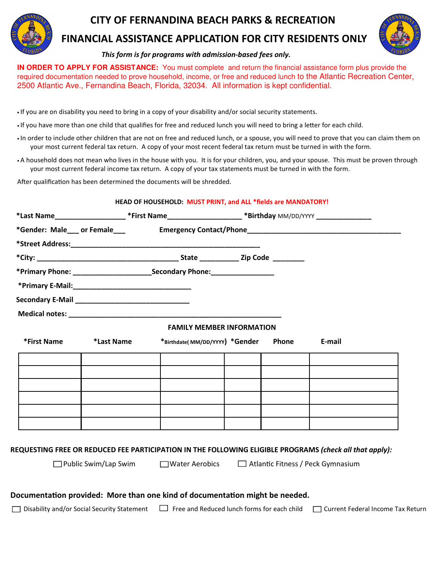

### CITY OF FERNANDINA BEACH PARKS & RECREATION

### FINANCIAL ASSISTANCE APPLICATION FOR CITY RESIDENTS ONLY



#### This form is for programs with admission-based fees only.

**IN ORDER TO APPLY FOR ASSISTANCE:** You must complete and return the financial assistance form plus provide the required documentation needed to prove household, income, or free and reduced lunch to the Atlantic Recreation Center, 2500 Atlantic Ave., Fernandina Beach, Florida, 32034. All information is kept confidential.

• If you are on disability you need to bring in a copy of your disability and/or social security statements.

• If you have more than one child that qualifies for free and reduced lunch you will need to bring a letter for each child.

• In order to include other children that are not on free and reduced lunch, or a spouse, you will need to prove that you can claim them on your most current federal tax return. A copy of your most recent federal tax return must be turned in with the form.

• A household does not mean who lives in the house with you. It is for your children, you, and your spouse. This must be proven through your most current federal income tax return. A copy of your tax statements must be turned in with the form.

After qualification has been determined the documents will be shredded.

|             |            |                                                                             | *Last Name_____________________*First Name______________________*Birthday MM/DD/YYYY________________ |       |                                                                                                         |
|-------------|------------|-----------------------------------------------------------------------------|------------------------------------------------------------------------------------------------------|-------|---------------------------------------------------------------------------------------------------------|
|             |            |                                                                             |                                                                                                      |       |                                                                                                         |
|             |            |                                                                             |                                                                                                      |       |                                                                                                         |
|             |            |                                                                             |                                                                                                      |       |                                                                                                         |
|             |            |                                                                             |                                                                                                      |       |                                                                                                         |
|             |            |                                                                             |                                                                                                      |       |                                                                                                         |
|             |            |                                                                             |                                                                                                      |       |                                                                                                         |
|             |            |                                                                             |                                                                                                      |       |                                                                                                         |
|             |            | <b>FAMILY MEMBER INFORMATION</b>                                            |                                                                                                      |       |                                                                                                         |
| *First Name | *Last Name | *Birthdate(MM/DD/YYYY) *Gender                                              |                                                                                                      | Phone | E-mail                                                                                                  |
|             |            |                                                                             |                                                                                                      |       |                                                                                                         |
|             |            |                                                                             |                                                                                                      |       |                                                                                                         |
|             |            |                                                                             |                                                                                                      |       |                                                                                                         |
|             |            |                                                                             |                                                                                                      |       |                                                                                                         |
|             |            |                                                                             |                                                                                                      |       |                                                                                                         |
|             |            |                                                                             |                                                                                                      |       |                                                                                                         |
|             |            |                                                                             |                                                                                                      |       |                                                                                                         |
|             |            |                                                                             |                                                                                                      |       | REQUESTING FREE OR REDUCED FEE PARTICIPATION IN THE FOLLOWING ELIGIBLE PROGRAMS (check all that apply): |
|             |            | □ Public Swim/Lap Swim □ Water Aerobics □ Atlantic Fitness / Peck Gymnasium |                                                                                                      |       |                                                                                                         |

#### Documentation provided: More than one kind of documentation might be needed.

 $\Box$  Disability and/or Social Security Statement  $\Box$  Free and Reduced lunch forms for each child  $\Box$  Current Federal Income Tax Return